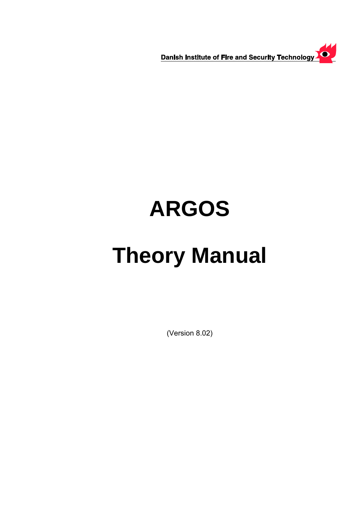Danish Institute of Fire and Security Technology

# **ARGOS**

# **Theory Manual**

(Version 8.02)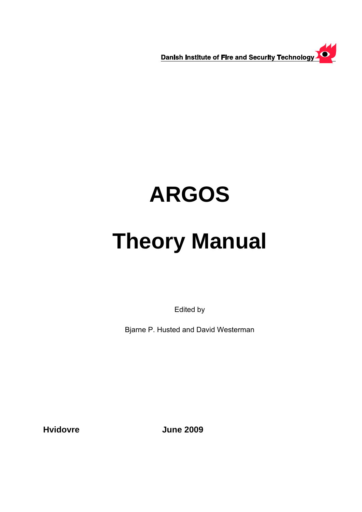Danish Institute of Fire and Security Technology

# **ARGOS**

# **Theory Manual**

Edited by

Bjarne P. Husted and David Westerman

**Hvidovre June 2009**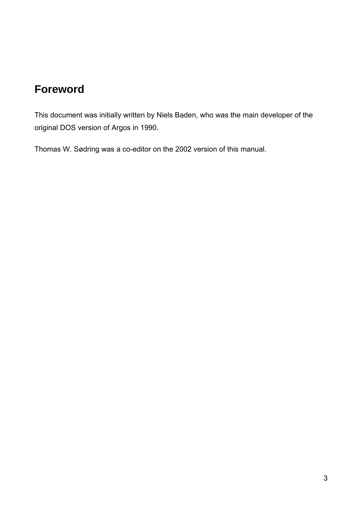# **Foreword**

This document was initially written by Niels Baden, who was the main developer of the original DOS version of Argos in 1990.

Thomas W. Sødring was a co-editor on the 2002 version of this manual.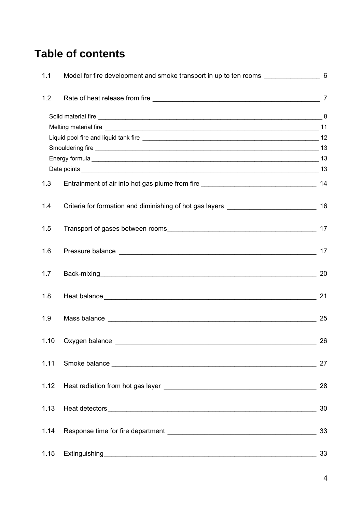# **Table of contents**

| 1.1  | Model for fire development and smoke transport in up to ten rooms [100] Model for fire development and smoke transport in up to ten rooms |    |
|------|-------------------------------------------------------------------------------------------------------------------------------------------|----|
| 1.2  |                                                                                                                                           |    |
|      |                                                                                                                                           |    |
|      |                                                                                                                                           |    |
|      |                                                                                                                                           |    |
|      |                                                                                                                                           |    |
|      |                                                                                                                                           |    |
|      |                                                                                                                                           |    |
| 1.3  |                                                                                                                                           |    |
| 1.4  |                                                                                                                                           |    |
| 1.5  |                                                                                                                                           |    |
| 1.6  |                                                                                                                                           | 17 |
| 1.7  |                                                                                                                                           | 20 |
| 1.8  |                                                                                                                                           | 21 |
| 1.9  |                                                                                                                                           | 25 |
| 1.10 | Oxygen balance                                                                                                                            | 26 |
|      |                                                                                                                                           | 27 |
| 1.12 |                                                                                                                                           | 28 |
| 1.13 |                                                                                                                                           | 30 |
| 1.14 |                                                                                                                                           | 33 |
| 1.15 |                                                                                                                                           | 33 |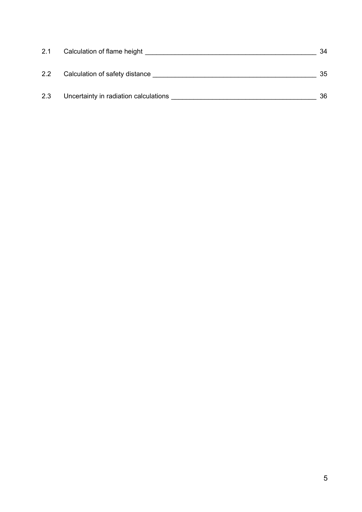| 2.1 | Calculation of flame height           | 34 |
|-----|---------------------------------------|----|
| 2.2 | Calculation of safety distance        | 35 |
| 2.3 | Uncertainty in radiation calculations | 36 |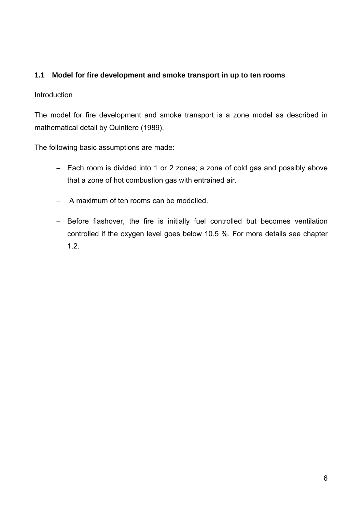# <span id="page-5-0"></span>**1.1 Model for fire development and smoke transport in up to ten rooms**

# **Introduction**

The model for fire development and smoke transport is a zone model as described in mathematical detail by Quintiere (1989).

The following basic assumptions are made:

- − Each room is divided into 1 or 2 zones; a zone of cold gas and possibly above that a zone of hot combustion gas with entrained air.
- − A maximum of ten rooms can be modelled.
- − Before flashover, the fire is initially fuel controlled but becomes ventilation controlled if the oxygen level goes below 10.5 %. For more details see chapter 1.2.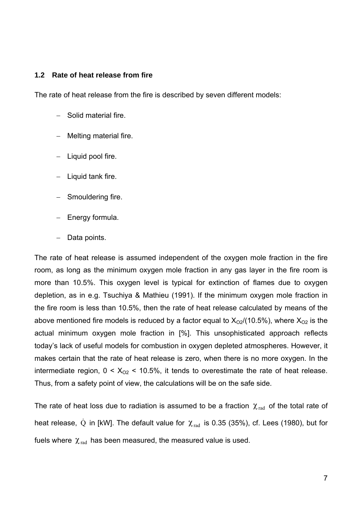#### <span id="page-6-0"></span>**1.2 Rate of heat release from fire**

The rate of heat release from the fire is described by seven different models:

- − Solid material fire.
- − Melting material fire.
- − Liquid pool fire.
- − Liquid tank fire.
- − Smouldering fire.
- − Energy formula.
- Data points.

The rate of heat release is assumed independent of the oxygen mole fraction in the fire room, as long as the minimum oxygen mole fraction in any gas layer in the fire room is more than 10.5%. This oxygen level is typical for extinction of flames due to oxygen depletion, as in e.g. Tsuchiya & Mathieu (1991). If the minimum oxygen mole fraction in the fire room is less than 10.5%, then the rate of heat release calculated by means of the above mentioned fire models is reduced by a factor equal to  $X_{O2}/(10.5\%)$ , where  $X_{O2}$  is the actual minimum oxygen mole fraction in [%]. This unsophisticated approach reflects today's lack of useful models for combustion in oxygen depleted atmospheres. However, it makes certain that the rate of heat release is zero, when there is no more oxygen. In the intermediate region,  $0 < X_{O2} < 10.5\%$ , it tends to overestimate the rate of heat release. Thus, from a safety point of view, the calculations will be on the safe side.

The rate of heat loss due to radiation is assumed to be a fraction  $\chi_{rad}$  of the total rate of heat release, Q in [kW]. The default value for  $\chi_{rad}$  is 0.35 (35%), cf. Lees (1980), but for fuels where  $\chi_{rad}$  has been measured, the measured value is used.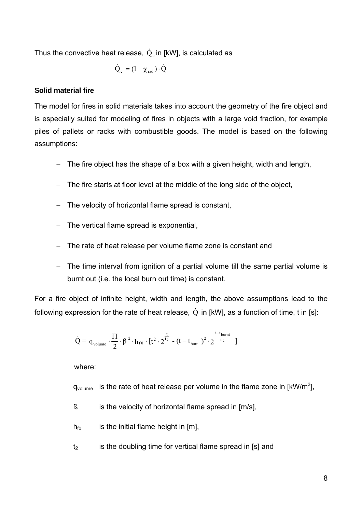<span id="page-7-0"></span>Thus the convective heat release,  $\mathrm{\dot{Q}}_{\mathrm{c}}$  in [kW], is calculated as

$$
\dot{Q}_c = (1 - \chi_{rad}) \cdot \dot{Q}
$$

### **Solid material fire**

The model for fires in solid materials takes into account the geometry of the fire object and is especially suited for modeling of fires in objects with a large void fraction, for example piles of pallets or racks with combustible goods. The model is based on the following assumptions:

- − The fire object has the shape of a box with a given height, width and length,
- The fire starts at floor level at the middle of the long side of the object,
- − The velocity of horizontal flame spread is constant,
- − The vertical flame spread is exponential,
- − The rate of heat release per volume flame zone is constant and
- − The time interval from ignition of a partial volume till the same partial volume is burnt out (i.e. the local burn out time) is constant.

For a fire object of infinite height, width and length, the above assumptions lead to the following expression for the rate of heat release,  $\dot{Q}$  in [kW], as a function of time, t in [s]:

$$
\dot{Q} = q_{\text{volume}} \cdot \frac{\Pi}{2} \cdot \beta^2 \cdot h_{f0} \cdot [t^2 \cdot 2^{\frac{t}{t_2}} - (t - t_{\text{burnt}})^2 \cdot 2^{\frac{t - t_{\text{burnt}}}{t_2}}]
$$

where:

 $q_{volume}$  is the rate of heat release per volume in the flame zone in [kW/m<sup>3</sup>],

- $\beta$  is the velocity of horizontal flame spread in  $[m/s]$ ,
- $h_{f0}$  is the initial flame height in [m],
- $t<sub>2</sub>$  is the doubling time for vertical flame spread in [s] and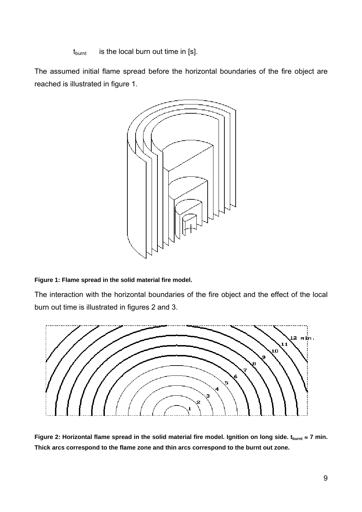$t_{\text{burnt}}$  is the local burn out time in [s].

The assumed initial flame spread before the horizontal boundaries of the fire object are reached is illustrated in figure 1.



## **Figure 1: Flame spread in the solid material fire model.**

The interaction with the horizontal boundaries of the fire object and the effect of the local burn out time is illustrated in figures 2 and 3.



Figure 2: Horizontal flame spread in the solid material fire model. Ignition on long side.  $t_{\text{burnt}} \approx 7$  min. **Thick arcs correspond to the flame zone and thin arcs correspond to the burnt out zone.**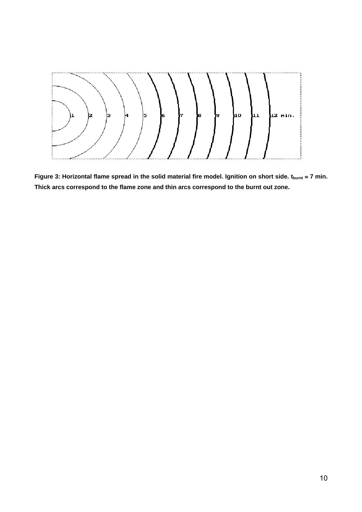

Figure 3: Horizontal flame spread in the solid material fire model. Ignition on short side. t<sub>burnt</sub> ≈ 7 min. **Thick arcs correspond to the flame zone and thin arcs correspond to the burnt out zone.**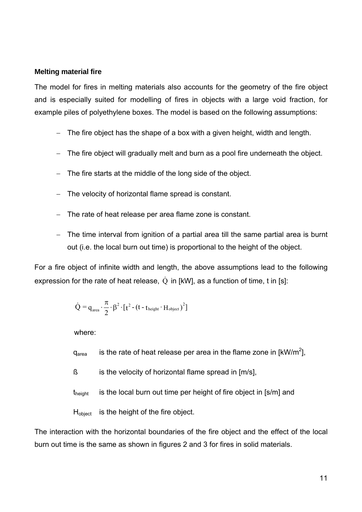### <span id="page-10-0"></span>**Melting material fire**

The model for fires in melting materials also accounts for the geometry of the fire object and is especially suited for modelling of fires in objects with a large void fraction, for example piles of polyethylene boxes. The model is based on the following assumptions:

- − The fire object has the shape of a box with a given height, width and length.
- The fire object will gradually melt and burn as a pool fire underneath the object.
- − The fire starts at the middle of the long side of the object.
- The velocity of horizontal flame spread is constant.
- The rate of heat release per area flame zone is constant.
- − The time interval from ignition of a partial area till the same partial area is burnt out (i.e. the local burn out time) is proportional to the height of the object.

For a fire object of infinite width and length, the above assumptions lead to the following expression for the rate of heat release,  $\dot{Q}$  in [kW], as a function of time, t in [s]:

$$
\dot{Q} = q_{\textrm{\tiny area}} \cdot \frac{\pi}{2} \cdot \beta^2 \cdot \left[t^2 - \left(t - t_{\textrm{\tiny height}} \cdot H_{\textrm{\tiny object}}\right)^2\right]
$$

where:

- $q_{area}$  is the rate of heat release per area in the flame zone in [kW/m<sup>2</sup>],
- $\beta$  is the velocity of horizontal flame spread in  $[m/s]$ ,
- $t<sub>height</sub>$  is the local burn out time per height of fire object in [s/m] and

H<sub>object</sub> is the height of the fire object.

The interaction with the horizontal boundaries of the fire object and the effect of the local burn out time is the same as shown in figures 2 and 3 for fires in solid materials.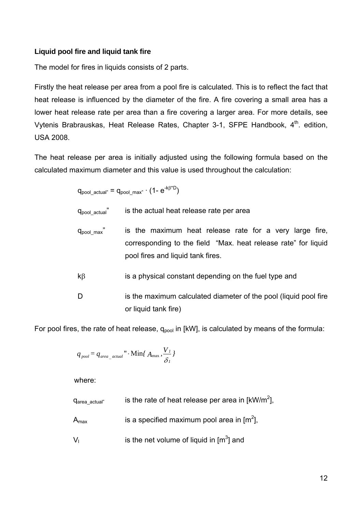# <span id="page-11-0"></span>**Liquid pool fire and liquid tank fire**

The model for fires in liquids consists of 2 parts.

Firstly the heat release per area from a pool fire is calculated. This is to reflect the fact that heat release is influenced by the diameter of the fire. A fire covering a small area has a lower heat release rate per area than a fire covering a larger area. For more details, see Vytenis Brabrauskas, Heat Release Rates, Chapter 3-1, SFPE Handbook, 4<sup>th</sup>. edition, USA 2008.

The heat release per area is initially adjusted using the following formula based on the calculated maximum diameter and this value is used throughout the calculation:

$$
q_{pool\_actual"}
$$
 =  $q_{pool\_max" \cdot (1 - e^{-k\beta^*D})$ 

 $q_{\text{pool actual}}$  is the actual heat release rate per area

- $q_{pool max}$ " is the maximum heat release rate for a very large fire, corresponding to the field "Max. heat release rate" for liquid pool fires and liquid tank fires.
- $k\beta$  is a physical constant depending on the fuel type and
- D is the maximum calculated diameter of the pool (liquid pool fire or liquid tank fire)

For pool fires, the rate of heat release,  $q_{pool}$  in [kW], is calculated by means of the formula:

$$
q_{\text{pool}} = q_{\text{area\_actual}} \cdot \min\{A_{\max}, \frac{V_I}{\delta_I}\}
$$

where:

- $q_{area\_actual}$  is the rate of heat release per area in [kW/m<sup>2</sup>],
- $A_{\text{max}}$  is a specified maximum pool area in [m<sup>2</sup>],
- $V_1$  is the net volume of liquid in  $\text{[m}^3\text{]}$  and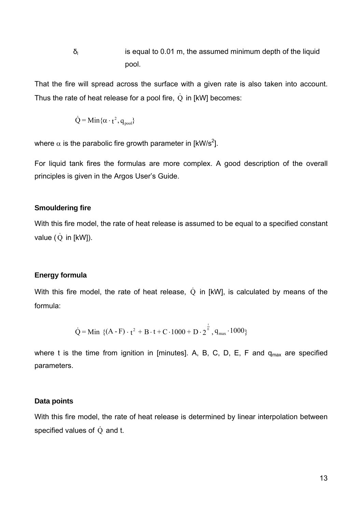<span id="page-12-0"></span> $\delta$  is equal to 0.01 m, the assumed minimum depth of the liquid pool.

That the fire will spread across the surface with a given rate is also taken into account. Thus the rate of heat release for a pool fire,  $\dot{Q}$  in [kW] becomes:

$$
\dot{Q} = \text{Min}\{\alpha \cdot t^2, q_{\text{pool}}\}
$$

where  $\alpha$  is the parabolic fire growth parameter in [kW/s<sup>2</sup>].

For liquid tank fires the formulas are more complex. A good description of the overall principles is given in the Argos User's Guide.

#### **Smouldering fire**

With this fire model, the rate of heat release is assumed to be equal to a specified constant value  $(\dot{Q}$  in [kW]).

#### **Energy formula**

With this fire model, the rate of heat release,  $\dot{Q}$  in [kW], is calculated by means of the formula:

$$
\dot{Q} = \text{Min} \ \left\{ (A - F) \cdot t^2 + B \cdot t + C \cdot 1000 + D \cdot 2^{\frac{t}{E}}, q_{\text{max}} \cdot 1000 \right\}
$$

where t is the time from ignition in [minutes]. A, B, C, D, E, F and  $q_{max}$  are specified parameters.

#### **Data points**

With this fire model, the rate of heat release is determined by linear interpolation between specified values of  $\dot{Q}$  and t.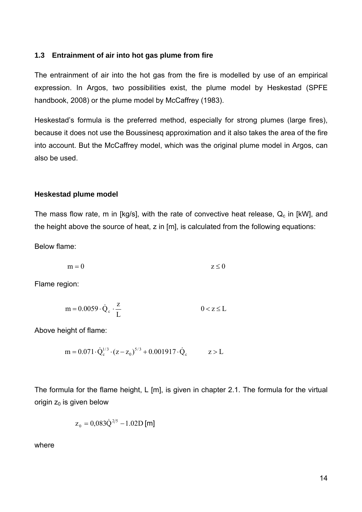### <span id="page-13-0"></span>**1.3 Entrainment of air into hot gas plume from fire**

The entrainment of air into the hot gas from the fire is modelled by use of an empirical expression. In Argos, two possibilities exist, the plume model by Heskestad (SPFE handbook, 2008) or the plume model by McCaffrey (1983).

Heskestad's formula is the preferred method, especially for strong plumes (large fires), because it does not use the Boussinesq approximation and it also takes the area of the fire into account. But the McCaffrey model, which was the original plume model in Argos, can also be used.

#### **Heskestad plume model**

The mass flow rate, m in [kg/s], with the rate of convective heat release,  $Q_c$  in [kW], and the height above the source of heat, z in [m], is calculated from the following equations:

Below flame:

$$
m = 0 \t\t z \le 0
$$

Flame region:

$$
m = 0.0059 \cdot \dot{Q}_c \cdot \frac{z}{L} \qquad 0 < z \le L
$$

Above height of flame:

$$
m = 0.071 \cdot \dot{Q}_c^{1/3} \cdot (z - z_0)^{5/3} + 0.001917 \cdot \dot{Q}_c \qquad z > L
$$

The formula for the flame height, L [m], is given in chapter 2.1. The formula for the virtual origin  $z_0$  is given below

$$
z_0 = 0.083 \dot{Q}^{2/5} - 1.02 D \text{ [m]}
$$

where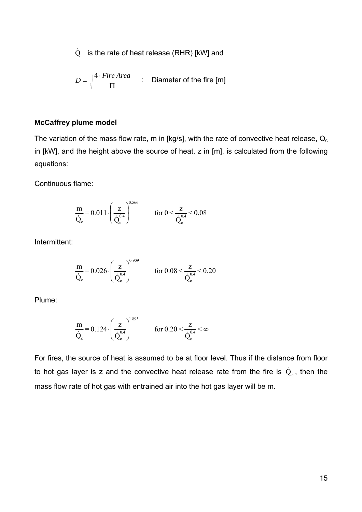$\dot{Q}$  is the rate of heat release (RHR) [kW] and

$$
D = \sqrt{\frac{4 \cdot \text{Fire Area}}{\Pi}} \qquad \text{:} \quad \text{Diameter of the fire [m]}
$$

#### **McCaffrey plume model**

The variation of the mass flow rate, m in [kg/s], with the rate of convective heat release,  $Q_c$ in [kW], and the height above the source of heat, z in [m], is calculated from the following equations:

Continuous flame:

$$
\frac{m}{\dot{Q}_c}\!=\!0.011\!\cdot\!\!\left(\frac{z}{\dot{Q}_c^{0.4}}\right)^{\!0.566}\qquad \quad \text{for } 0\!<\!\frac{z}{\dot{Q}_c^{0.4}}\!<\!0.08
$$

Intermittent:

$$
\frac{m}{\dot{Q}_c} = 0.026 \cdot \left(\frac{z}{\dot{Q}_c^{0.4}}\right)^{0.909} \qquad \text{for } 0.08 < \frac{z}{\dot{Q}_c^{0.4}} < 0.20
$$

Plume:

$$
\frac{m}{\dot{Q}_c} = 0.124 \cdot \left(\frac{z}{\dot{Q}_c^{0.4}}\right)^{1.895} \qquad \text{for } 0.20 < \frac{z}{\dot{Q}_c^{0.4}} < \infty
$$

For fires, the source of heat is assumed to be at floor level. Thus if the distance from floor to hot gas layer is z and the convective heat release rate from the fire is  $\dot{\text{Q}}_{\text{c}}$ , then the mass flow rate of hot gas with entrained air into the hot gas layer will be m.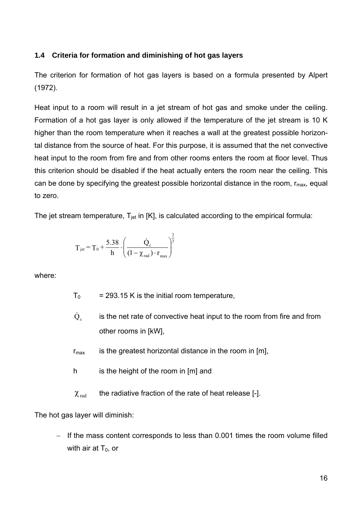# <span id="page-15-0"></span>**1.4 Criteria for formation and diminishing of hot gas layers**

The criterion for formation of hot gas layers is based on a formula presented by Alpert (1972).

Heat input to a room will result in a jet stream of hot gas and smoke under the ceiling. Formation of a hot gas layer is only allowed if the temperature of the jet stream is 10 K higher than the room temperature when it reaches a wall at the greatest possible horizontal distance from the source of heat. For this purpose, it is assumed that the net convective heat input to the room from fire and from other rooms enters the room at floor level. Thus this criterion should be disabled if the heat actually enters the room near the ceiling. This can be done by specifying the greatest possible horizontal distance in the room,  $r_{\text{max}}$ , equal to zero.

The jet stream temperature,  $T_{jet}$  in [K], is calculated according to the empirical formula:

$$
T_{jet} = T_0 + \frac{5.38}{h} \cdot \left(\frac{\dot{Q}_c}{(1 - \chi_{rad}) \cdot r_{max}}\right)^{\frac{2}{3}}
$$

where:

- $T_0$  = 293.15 K is the initial room temperature,
- $\dot{Q}_c$  is the net rate of convective heat input to the room from fire and from other rooms in [kW],
- $r_{\text{max}}$  is the greatest horizontal distance in the room in [m],
- h is the height of the room in [m] and
- $\chi_{\text{rad}}$  the radiative fraction of the rate of heat release [-].

The hot gas layer will diminish:

If the mass content corresponds to less than 0.001 times the room volume filled with air at  $T_0$ , or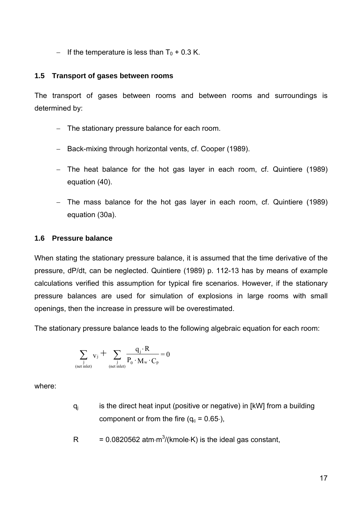<span id="page-16-0"></span> $-$  If the temperature is less than T<sub>0</sub> + 0.3 K.

# **1.5 Transport of gases between rooms**

The transport of gases between rooms and between rooms and surroundings is determined by:

- − The stationary pressure balance for each room.
- − Back-mixing through horizontal vents, cf. Cooper (1989).
- − The heat balance for the hot gas layer in each room, cf. Quintiere (1989) equation (40).
- − The mass balance for the hot gas layer in each room, cf. Quintiere (1989) equation (30a).

# **1.6 Pressure balance**

When stating the stationary pressure balance, it is assumed that the time derivative of the pressure, dP/dt, can be neglected. Quintiere (1989) p. 112-13 has by means of example calculations verified this assumption for typical fire scenarios. However, if the stationary pressure balances are used for simulation of explosions in large rooms with small openings, then the increase in pressure will be overestimated.

The stationary pressure balance leads to the following algebraic equation for each room:

$$
\sum_{\substack{j \\ (\text{net inlet})}} v_j + \sum_{\substack{j \\ (\text{net inlet})}} \frac{q_j \cdot R}{P_0 \cdot M_w \cdot C_p} = 0
$$

where:

- $q_i$  is the direct heat input (positive or negative) in [kW] from a building component or from the fire  $(q_c = 0.65)$ ,
- R = 0.0820562 atm⋅m<sup>3</sup>/(kmole⋅K) is the ideal gas constant,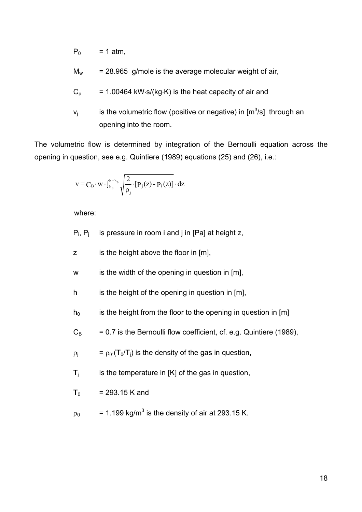$P_0$  = 1 atm,

- $M_w$  = 28.965 g/mole is the average molecular weight of air.
- $C_p$  = 1.00464 kW⋅s/(kg⋅K) is the heat capacity of air and
- $v_j$  is the volumetric flow (positive or negative) in [m<sup>3</sup>/s] through an opening into the room.

The volumetric flow is determined by integration of the Bernoulli equation across the opening in question, see e.g. Quintiere (1989) equations (25) and (26), i.e.:

$$
v = C_B \cdot w \cdot \int_{h_0}^{h+h_0} \sqrt{\frac{2}{\rho_j} \cdot [P_j(z) - P_i(z)] \cdot dz}
$$

where:

- $P_i$ ,  $P_i$  is pressure in room i and j in [Pa] at height z,
- z is the height above the floor in [m],
- w is the width of the opening in question in [m],
- h is the height of the opening in question in [m],
- $h_0$  is the height from the floor to the opening in question in [m]
- $C_B$  = 0.7 is the Bernoulli flow coefficient, cf. e.g. Quintiere (1989),
- $\rho_j = \rho_0 \cdot (T_0/T_j)$  is the density of the gas in question,
- $T_i$  is the temperature in [K] of the gas in question,
- $T_0$  = 293.15 K and
- $\rho_0$  = 1.199 kg/m<sup>3</sup> is the density of air at 293.15 K.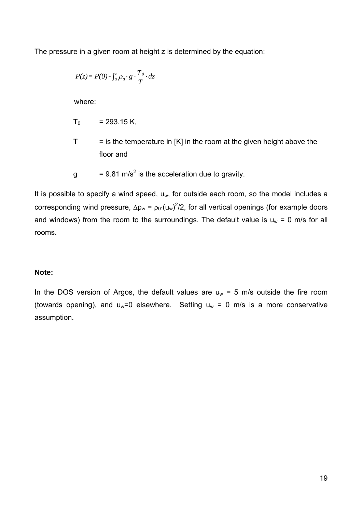The pressure in a given room at height z is determined by the equation:

$$
P(z) = P(0) - \int_0^z \rho_0 \cdot g \cdot \frac{T_0}{T} \cdot dz
$$

where:

$$
T_0
$$
 = 293.15 K,

- $T =$  is the temperature in [K] in the room at the given height above the floor and
- g  $= 9.81 \text{ m/s}^2$  is the acceleration due to gravity.

It is possible to specify a wind speed,  $u_w$ , for outside each room, so the model includes a corresponding wind pressure,  $\Delta p_w = \rho_0 \cdot (u_w)^2/2$ , for all vertical openings (for example doors and windows) from the room to the surroundings. The default value is  $u_w = 0$  m/s for all rooms.

# **Note:**

In the DOS version of Argos, the default values are  $u_w = 5$  m/s outside the fire room (towards opening), and  $u_w=0$  elsewhere. Setting  $u_w = 0$  m/s is a more conservative assumption.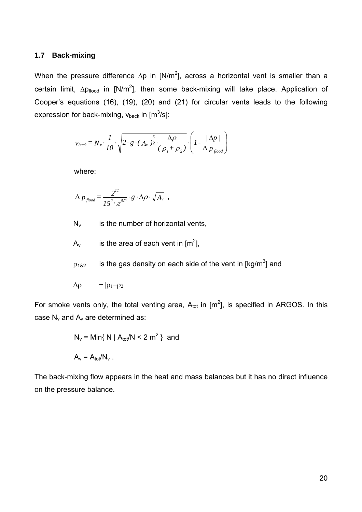#### <span id="page-19-0"></span>**1.7 Back-mixing**

When the pressure difference  $\Delta p$  in [N/m<sup>2</sup>], across a horizontal vent is smaller than a certain limit,  $\Delta p_{\text{floor}}$  in [N/m<sup>2</sup>], then some back-mixing will take place. Application of Cooper's equations (16), (19), (20) and (21) for circular vents leads to the following expression for back-mixing, v $_{\text{back}}$  in [m $^3$ /s]:

$$
v_{back} = N_v \cdot \frac{1}{10} \cdot \sqrt{2 \cdot g \cdot (A_v)^{\frac{5}{2}} \cdot \frac{\Delta \rho}{(\rho_1 + \rho_2)}} \cdot \left(1 - \frac{|\Delta p|}{\Delta p_{\text{flood}}}\right)
$$

where:

$$
\Delta p_{\text{flood}} = \frac{2^{11}}{15^2 \cdot \pi^{5/2}} \cdot g \cdot \Delta \rho \cdot \sqrt{A_v} ,
$$

 $N_v$  is the number of horizontal vents,

- $A_v$  is the area of each vent in [m<sup>2</sup>],
- $p_{182}$  is the gas density on each side of the vent in [kg/m<sup>3</sup>] and

$$
\Delta \rho = |\rho_1 - \rho_2|
$$

For smoke vents only, the total venting area,  $A_{\text{tot}}$  in  $[m^2]$ , is specified in ARGOS. In this case  $N_v$  and  $A_v$  are determined as:

$$
N_v = \text{Min}\{ N \mid A_{\text{tot}}/N < 2 \text{ m}^2 \}
$$
 and 
$$
A_v = A_{\text{tot}}/N_v
$$
.

The back-mixing flow appears in the heat and mass balances but it has no direct influence on the pressure balance.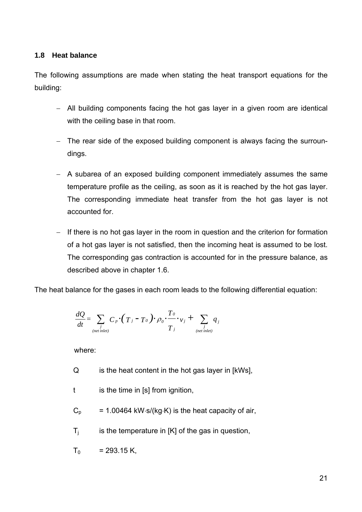# <span id="page-20-0"></span>**1.8 Heat balance**

The following assumptions are made when stating the heat transport equations for the building:

- − All building components facing the hot gas layer in a given room are identical with the ceiling base in that room.
- − The rear side of the exposed building component is always facing the surroundings.
- − A subarea of an exposed building component immediately assumes the same temperature profile as the ceiling, as soon as it is reached by the hot gas layer. The corresponding immediate heat transfer from the hot gas layer is not accounted for.
- − If there is no hot gas layer in the room in question and the criterion for formation of a hot gas layer is not satisfied, then the incoming heat is assumed to be lost. The corresponding gas contraction is accounted for in the pressure balance, as described above in chapter 1.6.

The heat balance for the gases in each room leads to the following differential equation:

$$
\frac{dQ}{dt} = \sum_{\substack{j \\ (net\text{ inlet})}} C_p \cdot (T_j - T_o) \cdot \rho_o \cdot \frac{T_o}{T_j} \cdot \mathbf{v}_j + \sum_{\substack{j \\ (net\text{ inlet})}} q_j
$$

where:

- Q is the heat content in the hot gas layer in [kWs],
- t is the time in [s] from ignition,
- $C_p$  = 1.00464 kW⋅s/(kg⋅K) is the heat capacity of air,
- $T_i$  is the temperature in  $[K]$  of the gas in question,
- $T_0$  = 293.15 K,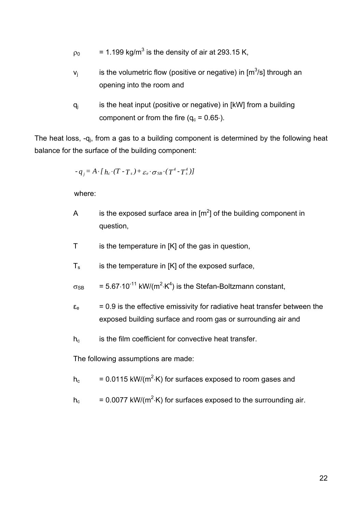$\rho_0$  = 1.199 kg/m<sup>3</sup> is the density of air at 293.15 K,

- $v_j$  is the volumetric flow (positive or negative) in [m<sup>3</sup>/s] through an opening into the room and
- $q_i$  is the heat input (positive or negative) in [kW] from a building component or from the fire  $(q_c = 0.65)$ .

The heat loss, -q<sub>i</sub>, from a gas to a building component is determined by the following heat balance for the surface of the building component:

$$
-q_{j} = A \cdot [h_{c} \cdot (T - T_{s}) + \varepsilon_{e} \cdot \sigma_{SB} \cdot (T^{4} - T_{s}^{4})]
$$

where:

- A is the exposed surface area in  $[m^2]$  of the building component in question,
- T is the temperature in [K] of the gas in question,
- $T_s$  is the temperature in [K] of the exposed surface,
- $\sigma_{SB}$  = 5.67 $\cdot$ 10<sup>-11</sup> kW/(m<sup>2</sup> $\cdot$ K<sup>4</sup>) is the Stefan-Boltzmann constant,
- $\varepsilon_e$  = 0.9 is the effective emissivity for radiative heat transfer between the exposed building surface and room gas or surrounding air and
- h<sub>c</sub> is the film coefficient for convective heat transfer.

The following assumptions are made:

- $h_c$  = 0.0115 kW/(m<sup>2</sup> $\cdot$ K) for surfaces exposed to room gases and
- $h_c$  = 0.0077 kW/(m<sup>2</sup> $\cdot$ K) for surfaces exposed to the surrounding air.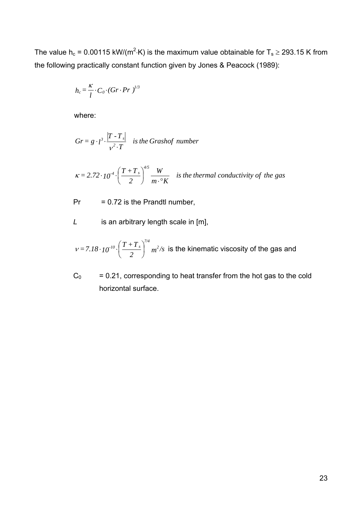The value h<sub>c</sub> = 0.00115 kW/(m<sup>2</sup>·K) is the maximum value obtainable for T<sub>s</sub>  $\ge$  293.15 K from the following practically constant function given by Jones & Peacock (1989):

$$
h_c = \frac{\kappa}{l} \cdot C_0 \cdot (Gr \cdot Pr)^{l/3}
$$

where:

$$
Gr = g \cdot l^{3} \cdot \frac{|T - T_{s}|}{v^{2} \cdot T}
$$
 is the Grashof number

$$
\kappa = 2.72 \cdot 10^{-4} \cdot \left(\frac{T + T_s}{2}\right)^{4/5} \frac{W}{m \cdot {}^{\circ}K}
$$
 is the thermal conductivity of the gas

 $Pr = 0.72$  is the Prandtl number,

*L* is an arbitrary length scale in [m],

$$
v = 7.18 \cdot 10^{-10} \cdot \left(\frac{T+T_s}{2}\right)^{7/4} m^2/s
$$
 is the kinematic viscosity of the gas and

 $C_0$  = 0.21, corresponding to heat transfer from the hot gas to the cold horizontal surface.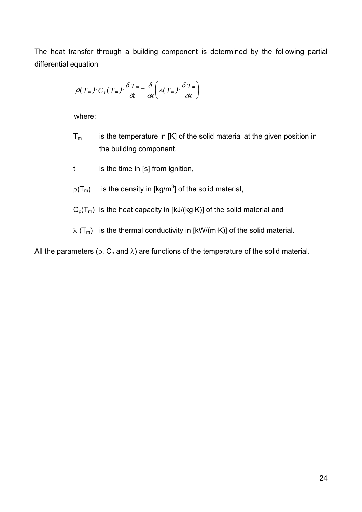The heat transfer through a building component is determined by the following partial differential equation

$$
\rho(T_m) \cdot C_p(T_m) \cdot \frac{\delta T_m}{\delta t} = \frac{\delta}{\delta x} \left( \lambda(T_m) \cdot \frac{\delta T_m}{\delta x} \right)
$$

where:

- $T_m$  is the temperature in [K] of the solid material at the given position in the building component,
- t is the time in [s] from ignition,
- $p(T_m)$  is the density in [kg/m<sup>3</sup>] of the solid material,
- $C_p(T_m)$  is the heat capacity in [kJ/(kg⋅K)] of the solid material and
- $\lambda$  (T<sub>m</sub>) is the thermal conductivity in [kW/(m⋅K)] of the solid material.

All the parameters ( $\rho$ , C<sub>p</sub> and  $\lambda$ ) are functions of the temperature of the solid material.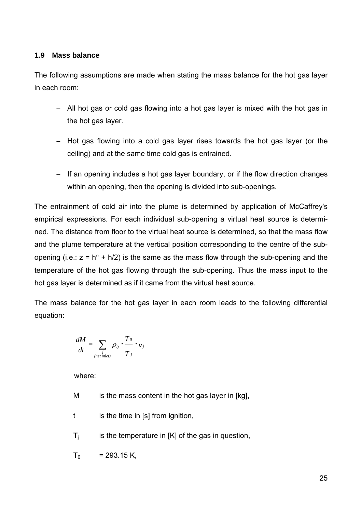# <span id="page-24-0"></span>**1.9 Mass balance**

The following assumptions are made when stating the mass balance for the hot gas layer in each room:

- − All hot gas or cold gas flowing into a hot gas layer is mixed with the hot gas in the hot gas layer.
- − Hot gas flowing into a cold gas layer rises towards the hot gas layer (or the ceiling) and at the same time cold gas is entrained.
- − If an opening includes a hot gas layer boundary, or if the flow direction changes within an opening, then the opening is divided into sub-openings.

The entrainment of cold air into the plume is determined by application of McCaffrey's empirical expressions. For each individual sub-opening a virtual heat source is determined. The distance from floor to the virtual heat source is determined, so that the mass flow and the plume temperature at the vertical position corresponding to the centre of the subopening (i.e.:  $z = h^{\circ} + h/2$ ) is the same as the mass flow through the sub-opening and the temperature of the hot gas flowing through the sub-opening. Thus the mass input to the hot gas layer is determined as if it came from the virtual heat source.

The mass balance for the hot gas layer in each room leads to the following differential equation:

$$
\frac{dM}{dt} = \sum_{\substack{j \\ (net\text{ inlet})}} \rho_0 \cdot \frac{T_0}{T_j} \cdot \mathbf{v}_j
$$

where:

- M is the mass content in the hot gas layer in [kg],
- t is the time in [s] from ignition,
- $T_i$  is the temperature in [K] of the gas in question,
- $T_0$  = 293.15 K,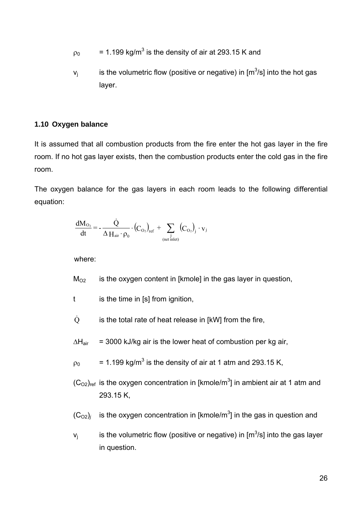- <span id="page-25-0"></span> $\rho_0$  = 1.199 kg/m<sup>3</sup> is the density of air at 293.15 K and
- $v_j$  is the volumetric flow (positive or negative) in [m<sup>3</sup>/s] into the hot gas layer.

# **1.10 Oxygen balance**

It is assumed that all combustion products from the fire enter the hot gas layer in the fire room. If no hot gas layer exists, then the combustion products enter the cold gas in the fire room.

The oxygen balance for the gas layers in each room leads to the following differential equation:

$$
\frac{dM_{O_2}}{dt} = -\frac{\dot{Q}}{\Delta \operatorname{H}_{air} \cdot \rho_0} \cdot (C_{O_2})_{ref} + \sum_{\substack{j \\ (\text{net inlet})}} (C_{O_2})_j \cdot v_j
$$

where:

 $M<sub>O2</sub>$  is the oxygen content in [kmole] in the gas layer in question,

- t is the time in [s] from ignition,
- $\dot{Q}$  is the total rate of heat release in [kW] from the fire,
- $\Delta H_{air}$  = 3000 kJ/kg air is the lower heat of combustion per kg air,
- $\rho_0$  = 1.199 kg/m<sup>3</sup> is the density of air at 1 atm and 293.15 K,
- $(C<sub>O2</sub>)<sub>ref</sub>$  is the oxygen concentration in [kmole/m<sup>3</sup>] in ambient air at 1 atm and 293.15 K,
- $(C_{O2})$ *j* is the oxygen concentration in [kmole/m<sup>3</sup>] in the gas in question and

 $v_j$  is the volumetric flow (positive or negative) in [m<sup>3</sup>/s] into the gas layer in question.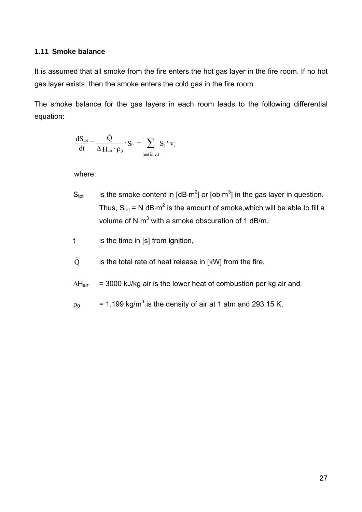### <span id="page-26-0"></span>**1.11 Smoke balance**

It is assumed that all smoke from the fire enters the hot gas layer in the fire room. If no hot gas layer exists, then the smoke enters the cold gas in the fire room.

The smoke balance for the gas layers in each room leads to the following differential equation:

$$
\frac{dS_{\text{tot}}}{dt} = \frac{\dot{Q}}{\Delta H_{\text{air}} \cdot \rho_0} \cdot S_0 + \sum_{\substack{j \\ (\text{net inlet})}} S_j \cdot v_j
$$

where:

- S<sub>tot</sub> is the smoke content in [dB⋅m<sup>2</sup>] or [ob⋅m<sup>3</sup>] in the gas layer in question. Thus,  $S_{\text{tot}} = N dB \cdot m^2$  is the amount of smoke, which will be able to fill a volume of N m<sup>3</sup> with a smoke obscuration of 1 dB/m.
- t is the time in [s] from ignition,
- $\dot{Q}$  is the total rate of heat release in [kW] from the fire,
- $\Delta H_{air}$  = 3000 kJ/kg air is the lower heat of combustion per kg air and
- $\rho_0$  = 1.199 kg/m<sup>3</sup> is the density of air at 1 atm and 293.15 K,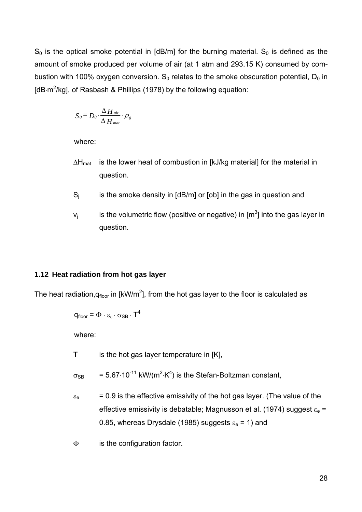<span id="page-27-0"></span> $S_0$  is the optical smoke potential in [dB/m] for the burning material.  $S_0$  is defined as the amount of smoke produced per volume of air (at 1 atm and 293.15 K) consumed by combustion with 100% oxygen conversion.  $S_0$  relates to the smoke obscuration potential,  $D_0$  in [dB⋅m<sup>2</sup>/kg], of Rasbash & Phillips (1978) by the following equation:

$$
S_0 = D_0 \cdot \frac{\Delta H_{\text{air}}}{\Delta H_{\text{mat}}}\cdot \rho_0
$$

where:

- $\Delta H_{\text{mat}}$  is the lower heat of combustion in [kJ/kg material] for the material in question.
- $S_i$  is the smoke density in [dB/m] or [ob] in the gas in question and
- $v_j$  is the volumetric flow (positive or negative) in [m<sup>3</sup>] into the gas layer in question.

#### **1.12 Heat radiation from hot gas layer**

The heat radiation,q<sub>floor</sub> in [kW/m<sup>2</sup>], from the hot gas layer to the floor is calculated as

$$
q_{floor} = \Phi \cdot \varepsilon_{\varepsilon} \cdot \sigma_{SB} \cdot T^4
$$

where:

T is the hot gas layer temperature in [K],

 $\sigma_{SB}$  = 5.67⋅10<sup>-11</sup> kW/(m<sup>2</sup>⋅K<sup>4</sup>) is the Stefan-Boltzman constant,

- $\varepsilon_e$  = 0.9 is the effective emissivity of the hot gas layer. (The value of the effective emissivity is debatable; Magnusson et al. (1974) suggest  $\varepsilon_e$  = 0.85, whereas Drysdale (1985) suggests  $\varepsilon_e$  = 1) and
- Φ is the configuration factor.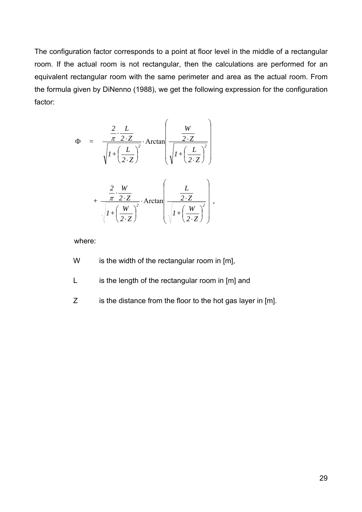The configuration factor corresponds to a point at floor level in the middle of a rectangular room. If the actual room is not rectangular, then the calculations are performed for an equivalent rectangular room with the same perimeter and area as the actual room. From the formula given by DiNenno (1988), we get the following expression for the configuration factor:

$$
\Phi = \frac{\frac{2}{\pi} \cdot \frac{L}{2 \cdot Z}}{\sqrt{I + \left(\frac{L}{2 \cdot Z}\right)^2}} \cdot \text{Arctan}\left(\frac{W}{\sqrt{I + \left(\frac{L}{2 \cdot Z}\right)^2}}\right) + \frac{\frac{2}{\pi} \cdot \frac{W}{2 \cdot Z}}{\sqrt{I + \left(\frac{W}{2 \cdot Z}\right)^2}} \cdot \text{Arctan}\left(\frac{L}{\sqrt{I + \left(\frac{W}{2 \cdot Z}\right)^2}}\right),
$$

where:

- W is the width of the rectangular room in [m],
- L is the length of the rectangular room in [m] and
- Z is the distance from the floor to the hot gas layer in [m].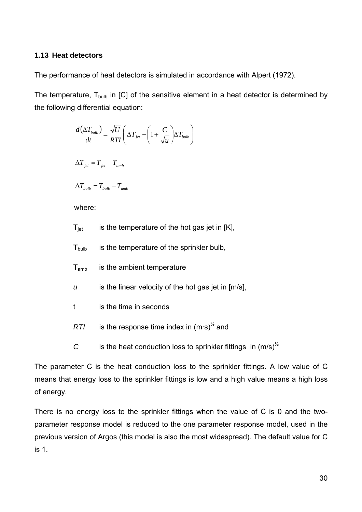# <span id="page-29-0"></span>**1.13 Heat detectors**

The performance of heat detectors is simulated in accordance with Alpert (1972).

The temperature,  $T_{bulb}$  in [C] of the sensitive element in a heat detector is determined by the following differential equation:

> $\vert$  $\vert$ ⎠

> ⎞

$$
\frac{d(\Delta T_{bulb})}{dt} = \frac{\sqrt{U}}{RTI} \left( \Delta T_{jet} - \left( 1 + \frac{C}{\sqrt{u}} \right) \Delta T_{bulb} \right)
$$

$$
\Delta T_{jet} = T_{jet} - T_{amb}
$$

where:

 $\Delta T_{bulb} = T_{bulb} - T_{amb}$ 

| $\mathsf{T}_{\mathsf{jet}}$<br>is the temperature of the hot gas jet in [K], |  |
|------------------------------------------------------------------------------|--|
|------------------------------------------------------------------------------|--|

 $T_{\text{bulb}}$  is the temperature of the sprinkler bulb,

- $T_{amb}$  is the ambient temperature
- *u* is the linear velocity of the hot gas jet in [m/s],
- t is the time in seconds
- *RTI* is the response time index in  $(m·s)<sup>1/2</sup>$  and
- *C* is the heat conduction loss to sprinkler fittings in  $(m/s)^{1/2}$

The parameter C is the heat conduction loss to the sprinkler fittings. A low value of C means that energy loss to the sprinkler fittings is low and a high value means a high loss of energy.

There is no energy loss to the sprinkler fittings when the value of C is 0 and the twoparameter response model is reduced to the one parameter response model, used in the previous version of Argos (this model is also the most widespread). The default value for C is 1.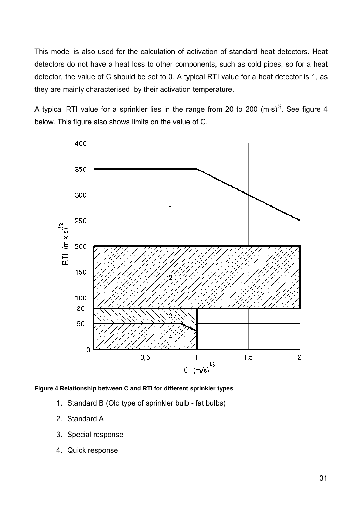This model is also used for the calculation of activation of standard heat detectors. Heat detectors do not have a heat loss to other components, such as cold pipes, so for a heat detector, the value of C should be set to 0. A typical RTI value for a heat detector is 1, as they are mainly characterised by their activation temperature.

A typical RTI value for a sprinkler lies in the range from 20 to 200  $(m·s)<sup>1/2</sup>$ . See figure 4 below. This figure also shows limits on the value of C.



#### **Figure 4 Relationship between C and RTI for different sprinkler types**

- 1. Standard B (Old type of sprinkler bulb fat bulbs)
- 2. Standard A
- 3. Special response
- 4. Quick response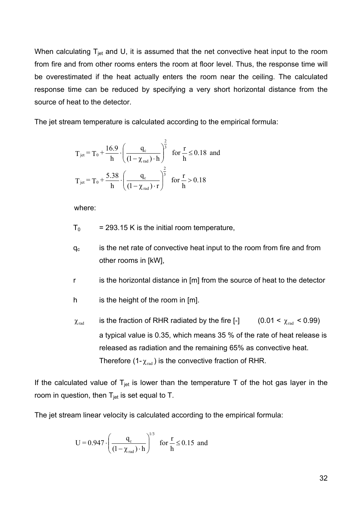When calculating  $T_{jet}$  and U, it is assumed that the net convective heat input to the room from fire and from other rooms enters the room at floor level. Thus, the response time will be overestimated if the heat actually enters the room near the ceiling. The calculated response time can be reduced by specifying a very short horizontal distance from the source of heat to the detector.

The jet stream temperature is calculated according to the empirical formula:

$$
T_{jet} = T_0 + \frac{16.9}{h} \cdot \left(\frac{q_c}{(1 - \chi_{rad}) \cdot h}\right)^{\frac{2}{3}} \text{ for } \frac{r}{h} \le 0.18 \text{ and}
$$
  

$$
T_{jet} = T_0 + \frac{5.38}{h} \cdot \left(\frac{q_c}{(1 - \chi_{rad}) \cdot r}\right)^{\frac{2}{3}} \text{ for } \frac{r}{h} > 0.18
$$

where:

 $T_0$  = 293.15 K is the initial room temperature,

 $q_c$  is the net rate of convective heat input to the room from fire and from other rooms in [kW],

r is the horizontal distance in [m] from the source of heat to the detector

- h is the height of the room in [m].
- $\chi_{\text{rad}}$  is the fraction of RHR radiated by the fire [-] a typical value is 0.35, which means 35 % of the rate of heat release is released as radiation and the remaining 65% as convective heat. Therefore (1- $\chi_{\rm rad}$ ) is the convective fraction of RHR.  $(0.01 < \chi_{\text{rad}} < 0.99)$

If the calculated value of  $T_{jet}$  is lower than the temperature T of the hot gas layer in the room in question, then  $T_{jet}$  is set equal to T.

The jet stream linear velocity is calculated according to the empirical formula:

$$
U = 0.947 \cdot \left(\frac{q_c}{(1-\chi_{\text{rad}}) \cdot h}\right)^{1/3} \text{ for } \frac{r}{h} \le 0.15 \text{ and}
$$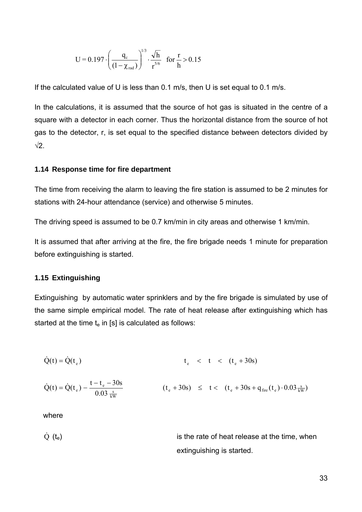<span id="page-32-0"></span>
$$
U = 0.197 \cdot \left(\frac{q_c}{(1 - \chi_{\text{rad}})}\right)^{1/3} \cdot \frac{\sqrt{h}}{r^{5/6}} \quad \text{for } \frac{r}{h} > 0.15
$$

If the calculated value of U is less than 0.1 m/s, then U is set equal to 0.1 m/s.

In the calculations, it is assumed that the source of hot gas is situated in the centre of a square with a detector in each corner. Thus the horizontal distance from the source of hot gas to the detector, r, is set equal to the specified distance between detectors divided by  $\sqrt{2}$ 

#### **1.14 Response time for fire department**

The time from receiving the alarm to leaving the fire station is assumed to be 2 minutes for stations with 24-hour attendance (service) and otherwise 5 minutes.

The driving speed is assumed to be 0.7 km/min in city areas and otherwise 1 km/min.

It is assumed that after arriving at the fire, the fire brigade needs 1 minute for preparation before extinguishing is started.

#### **1.15 Extinguishing**

Extinguishing by automatic water sprinklers and by the fire brigade is simulated by use of the same simple empirical model. The rate of heat release after extinguishing which has started at the time  $t_e$  in [s] is calculated as follows:

$$
\dot{Q}(t) = \dot{Q}(t_e) \qquad t_e \quad < \quad t < \quad (t_e + 30s)
$$

$$
\dot{Q}(t) = \dot{Q}(t_e) - \frac{t - t_e - 30s}{0.03 \frac{s}{kW}} \qquad (t_e + 30s) \leq t < (t_e + 30s + q_{\text{fire}}(t_e) \cdot 0.03 \frac{s}{kW})
$$

where

 $\dot{Q}$  ( $t_e$ ) is the rate of heat release at the time, when extinguishing is started.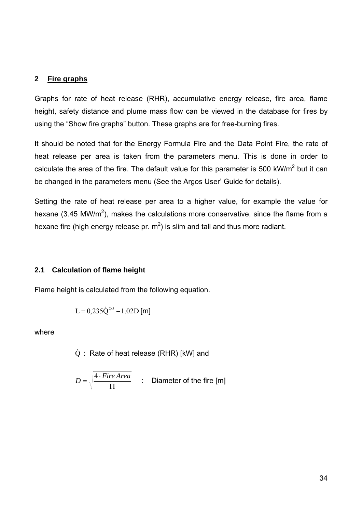#### <span id="page-33-0"></span>**2 Fire graphs**

Graphs for rate of heat release (RHR), accumulative energy release, fire area, flame height, safety distance and plume mass flow can be viewed in the database for fires by using the "Show fire graphs" button. These graphs are for free-burning fires.

It should be noted that for the Energy Formula Fire and the Data Point Fire, the rate of heat release per area is taken from the parameters menu. This is done in order to calculate the area of the fire. The default value for this parameter is 500 kW/m<sup>2</sup> but it can be changed in the parameters menu (See the Argos User' Guide for details).

Setting the rate of heat release per area to a higher value, for example the value for hexane (3.45 MW/m<sup>2</sup>), makes the calculations more conservative, since the flame from a hexane fire (high energy release pr.  $m^2$ ) is slim and tall and thus more radiant.

### **2.1 Calculation of flame height**

Flame height is calculated from the following equation.

$$
L = 0.235 \dot{Q}^{2/5} - 1.02 D \text{ [m]}
$$

where

$$
\dot{Q}
$$
: Rate of heat release (RHR) [kW] and

$$
D = \sqrt{\frac{4 \cdot \text{Fire Area}}{\Pi}} \qquad \therefore \quad \text{Diameter of the fire [m]}
$$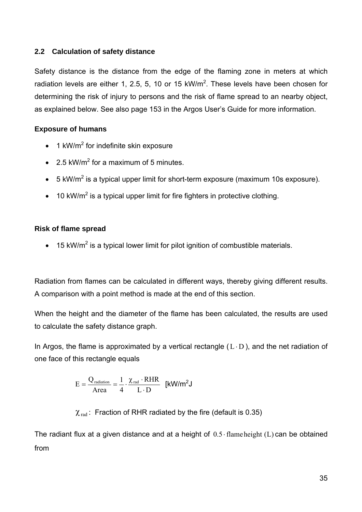# <span id="page-34-0"></span>**2.2 Calculation of safety distance**

Safety distance is the distance from the edge of the flaming zone in meters at which radiation levels are either 1, 2.5, 5, 10 or 15 kW/m<sup>2</sup>. These levels have been chosen for determining the risk of injury to persons and the risk of flame spread to an nearby object, as explained below. See also page 153 in the Argos User's Guide for more information.

# **Exposure of humans**

- $\bullet$  1 kW/m<sup>2</sup> for indefinite skin exposure
- 2.5 kW/m<sup>2</sup> for a maximum of 5 minutes.
- 5 kW/m<sup>2</sup> is a typical upper limit for short-term exposure (maximum 10s exposure).
- 10 kW/m<sup>2</sup> is a typical upper limit for fire fighters in protective clothing.

# **Risk of flame spread**

• 15 kW/m<sup>2</sup> is a typical lower limit for pilot ignition of combustible materials.

Radiation from flames can be calculated in different ways, thereby giving different results. A comparison with a point method is made at the end of this section.

When the height and the diameter of the flame has been calculated, the results are used to calculate the safety distance graph.

In Argos, the flame is approximated by a vertical rectangle  $(L \cdot D)$ , and the net radiation of one face of this rectangle equals

$$
E = \frac{Q_{\text{radiation}}}{Area} = \frac{1}{4} \cdot \frac{\chi_{\text{rad}} \cdot RHR}{L \cdot D} \quad \text{[kW/m}^2J
$$

 $\chi_{rad}$ : Fraction of RHR radiated by the fire (default is 0.35)

The radiant flux at a given distance and at a height of  $0.5 \cdot$  flame height (L) can be obtained from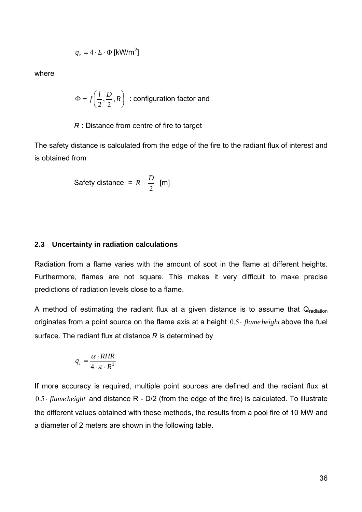$$
q_r = 4 \cdot E \cdot \Phi \, [\text{kW/m}^2]
$$

<span id="page-35-0"></span>where

$$
\Phi = f\left(\frac{l}{2}, \frac{D}{2}, R\right) \text{ : configuration factor and}
$$

#### *R* : Distance from centre of fire to target

The safety distance is calculated from the edge of the fire to the radiant flux of interest and is obtained from

Safety distance = 
$$
R - \frac{D}{2}
$$
 [m]

#### **2.3 Uncertainty in radiation calculations**

Radiation from a flame varies with the amount of soot in the flame at different heights. Furthermore, flames are not square. This makes it very difficult to make precise predictions of radiation levels close to a flame.

A method of estimating the radiant flux at a given distance is to assume that  $Q_{radiation}$ originates from a point source on the flame axis at a height  $0.5 \cdot \text{flame height}$  above the fuel surface. The radiant flux at distance *R* is determined by

$$
q_r = \frac{\alpha \cdot RHR}{4 \cdot \pi \cdot R^2}
$$

If more accuracy is required, multiple point sources are defined and the radiant flux at  $0.5 \cdot$  *flame height* and distance R - D/2 (from the edge of the fire) is calculated. To illustrate the different values obtained with these methods, the results from a pool fire of 10 MW and a diameter of 2 meters are shown in the following table.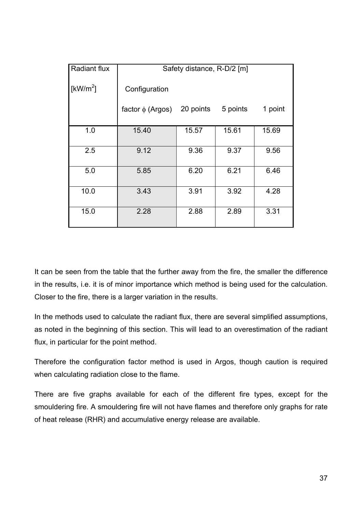| <b>Radiant flux</b> | Safety distance, R-D/2 [m] |           |          |         |  |
|---------------------|----------------------------|-----------|----------|---------|--|
| [ $kW/m^2$ ]        | Configuration              |           |          |         |  |
|                     | factor $\phi$ (Argos)      | 20 points | 5 points | 1 point |  |
| 1.0                 | 15.40                      | 15.57     | 15.61    | 15.69   |  |
| 2.5                 | 9.12                       | 9.36      | 9.37     | 9.56    |  |
| 5.0                 | 5.85                       | 6.20      | 6.21     | 6.46    |  |
| 10.0                | 3.43                       | 3.91      | 3.92     | 4.28    |  |
| 15.0                | 2.28                       | 2.88      | 2.89     | 3.31    |  |

It can be seen from the table that the further away from the fire, the smaller the difference in the results, i.e. it is of minor importance which method is being used for the calculation. Closer to the fire, there is a larger variation in the results.

In the methods used to calculate the radiant flux, there are several simplified assumptions, as noted in the beginning of this section. This will lead to an overestimation of the radiant flux, in particular for the point method.

Therefore the configuration factor method is used in Argos, though caution is required when calculating radiation close to the flame.

There are five graphs available for each of the different fire types, except for the smouldering fire. A smouldering fire will not have flames and therefore only graphs for rate of heat release (RHR) and accumulative energy release are available.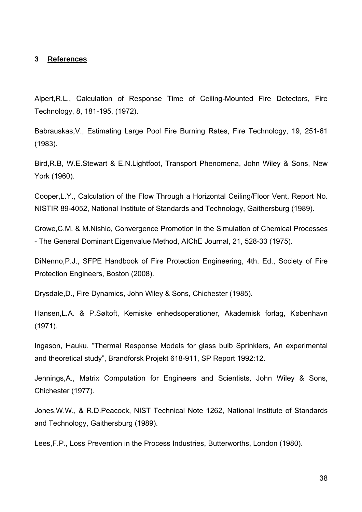#### **3 References**

Alpert,R.L., Calculation of Response Time of Ceiling-Mounted Fire Detectors, Fire Technology, 8, 181-195, (1972).

Babrauskas,V., Estimating Large Pool Fire Burning Rates, Fire Technology, 19, 251-61 (1983).

Bird,R.B, W.E.Stewart & E.N.Lightfoot, Transport Phenomena, John Wiley & Sons, New York (1960).

Cooper,L.Y., Calculation of the Flow Through a Horizontal Ceiling/Floor Vent, Report No. NISTIR 89-4052, National Institute of Standards and Technology, Gaithersburg (1989).

Crowe,C.M. & M.Nishio, Convergence Promotion in the Simulation of Chemical Processes - The General Dominant Eigenvalue Method, AIChE Journal, 21, 528-33 (1975).

DiNenno,P.J., SFPE Handbook of Fire Protection Engineering, 4th. Ed., Society of Fire Protection Engineers, Boston (2008).

Drysdale,D., Fire Dynamics, John Wiley & Sons, Chichester (1985).

Hansen,L.A. & P.Søltoft, Kemiske enhedsoperationer, Akademisk forlag, København (1971).

Ingason, Hauku. "Thermal Response Models for glass bulb Sprinklers, An experimental and theoretical study", Brandforsk Projekt 618-911, SP Report 1992:12.

Jennings,A., Matrix Computation for Engineers and Scientists, John Wiley & Sons, Chichester (1977).

Jones,W.W., & R.D.Peacock, NIST Technical Note 1262, National Institute of Standards and Technology, Gaithersburg (1989).

Lees,F.P., Loss Prevention in the Process Industries, Butterworths, London (1980).